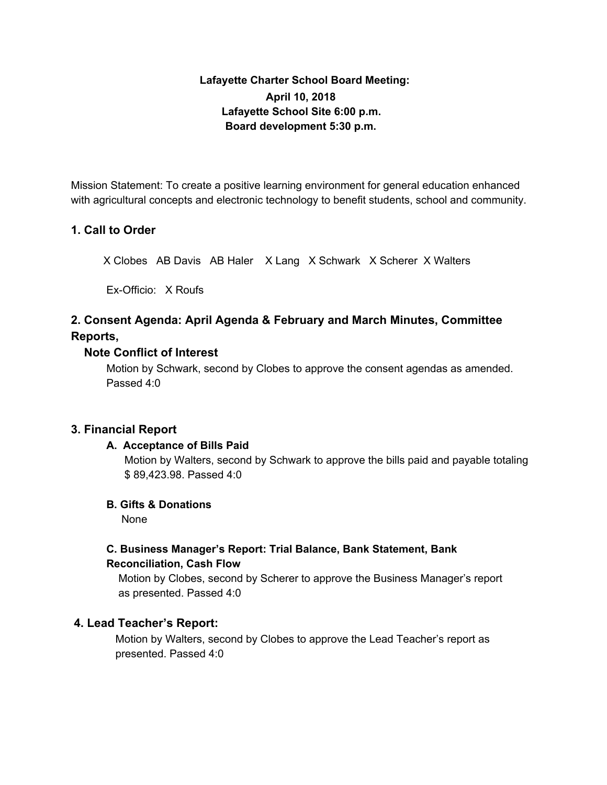# **Lafayette Charter School Board Meeting: April 10, 2018 Lafayette School Site 6:00 p.m. Board development 5:30 p.m.**

Mission Statement: To create a positive learning environment for general education enhanced with agricultural concepts and electronic technology to benefit students, school and community.

## **1. Call to Order**

X Clobes AB Davis AB Haler X Lang X Schwark X Scherer X Walters

Ex-Officio: X Roufs

# **2. Consent Agenda: April Agenda & February and March Minutes, Committee Reports,**

## **Note Conflict of Interest**

Motion by Schwark, second by Clobes to approve the consent agendas as amended. Passed 4:0

## **3. Financial Report**

## **A. Acceptance of Bills Paid**

Motion by Walters, second by Schwark to approve the bills paid and payable totaling \$ 89,423.98. Passed 4:0

## **B. Gifts & Donations**

None

# **C. Business Manager's Report: Trial Balance, Bank Statement, Bank Reconciliation, Cash Flow**

Motion by Clobes, second by Scherer to approve the Business Manager's report as presented. Passed 4:0

## **4. Lead Teacher's Report:**

Motion by Walters, second by Clobes to approve the Lead Teacher's report as presented. Passed 4:0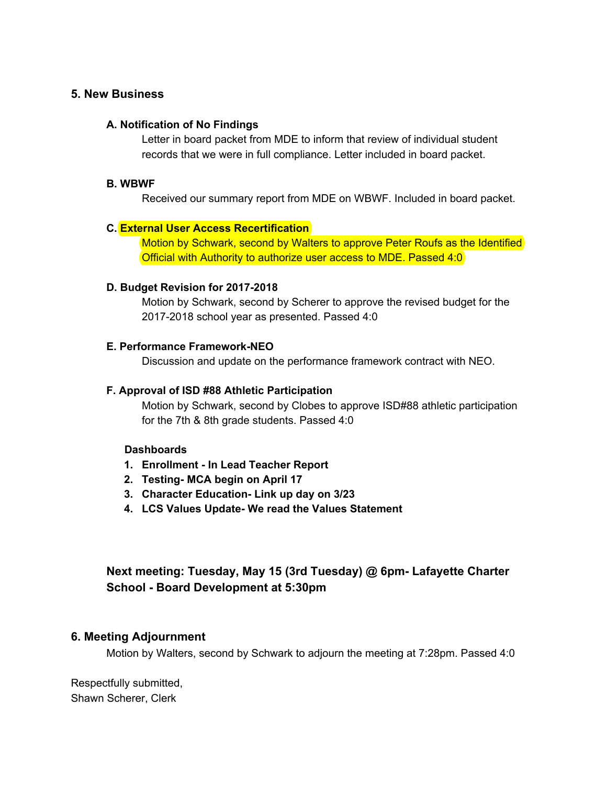## **5. New Business**

### **A. Notification of No Findings**

Letter in board packet from MDE to inform that review of individual student records that we were in full compliance. Letter included in board packet.

#### **B. WBWF**

Received our summary report from MDE on WBWF. Included in board packet.

#### **C. External User Access Recertification**

Motion by Schwark, second by Walters to approve Peter Roufs as the Identified Official with Authority to authorize user access to MDE. Passed 4:0

#### **D. Budget Revision for 2017-2018**

Motion by Schwark, second by Scherer to approve the revised budget for the 2017-2018 school year as presented. Passed 4:0

#### **E. Performance Framework-NEO**

Discussion and update on the performance framework contract with NEO.

### **F. Approval of ISD #88 Athletic Participation**

Motion by Schwark, second by Clobes to approve ISD#88 athletic participation for the 7th & 8th grade students. Passed 4:0

### **Dashboards**

- **1. Enrollment - In Lead Teacher Report**
- **2. Testing- MCA begin on April 17**
- **3. Character Education- Link up day on 3/23**
- **4. LCS Values Update- We read the Values Statement**

# **Next meeting: Tuesday, May 15 (3rd Tuesday) @ 6pm- Lafayette Charter School - Board Development at 5:30pm**

### **6. Meeting Adjournment**

Motion by Walters, second by Schwark to adjourn the meeting at 7:28pm. Passed 4:0

Respectfully submitted, Shawn Scherer, Clerk